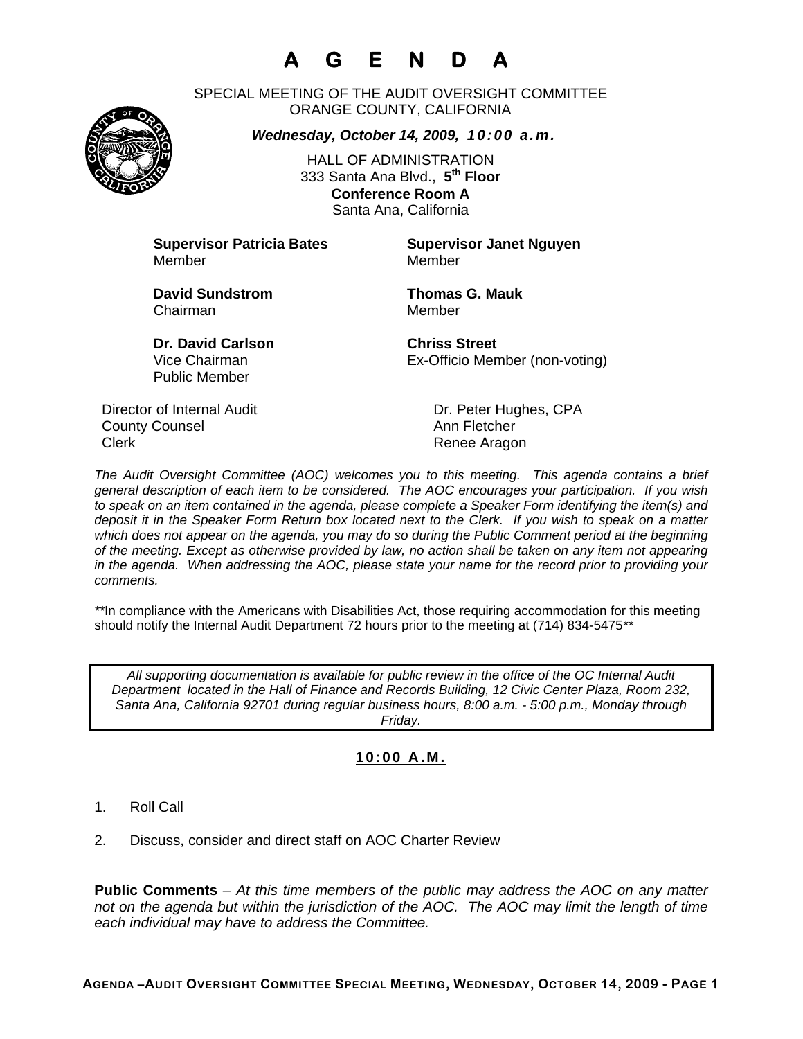# **A G E N D A**

SPECIAL MEETING OF THE AUDIT OVERSIGHT COMMITTEE ORANGE COUNTY, CALIFORNIA

*Wednesday, October 14, 2009, 10:00 a.m.*

HALL OF ADMINISTRATION 333 Santa Ana Blvd., **5th Floor Conference Room A**  Santa Ana, California

**Supervisor Patricia Bates Supervisor Janet Nguyen** Member Member

**David Sundstrom Thomas G. Mauk**  Chairman Member

Public Member

**Dr. David Carlson Chriss Street** Vice Chairman Ex-Officio Member (non-voting)

Director of Internal Audit Dr. Peter Hughes, CPA **County Counsel Countillist County Counsel Ann Fletcher** Clerk **Renee Aragon** 

*The Audit Oversight Committee (AOC) welcomes you to this meeting. This agenda contains a brief general description of each item to be considered. The AOC encourages your participation. If you wish to speak on an item contained in the agenda, please complete a Speaker Form identifying the item(s) and deposit it in the Speaker Form Return box located next to the Clerk. If you wish to speak on a matter which does not appear on the agenda, you may do so during the Public Comment period at the beginning of the meeting. Except as otherwise provided by law, no action shall be taken on any item not appearing in the agenda. When addressing the AOC, please state your name for the record prior to providing your comments.* 

*\*\**In compliance with the Americans with Disabilities Act, those requiring accommodation for this meeting should notify the Internal Audit Department 72 hours prior to the meeting at (714) 834-5475*\*\** 

*All supporting documentation is available for public review in the office of the OC Internal Audit Department located in the Hall of Finance and Records Building, 12 Civic Center Plaza, Room 232, Santa Ana, California 92701 during regular business hours, 8:00 a.m. - 5:00 p.m., Monday through Friday.* 

### **10:00 A.M.**

1. Roll Call

2. Discuss, consider and direct staff on AOC Charter Review

**Public Comments** – *At this time members of the public may address the AOC on any matter not on the agenda but within the jurisdiction of the AOC. The AOC may limit the length of time each individual may have to address the Committee.*